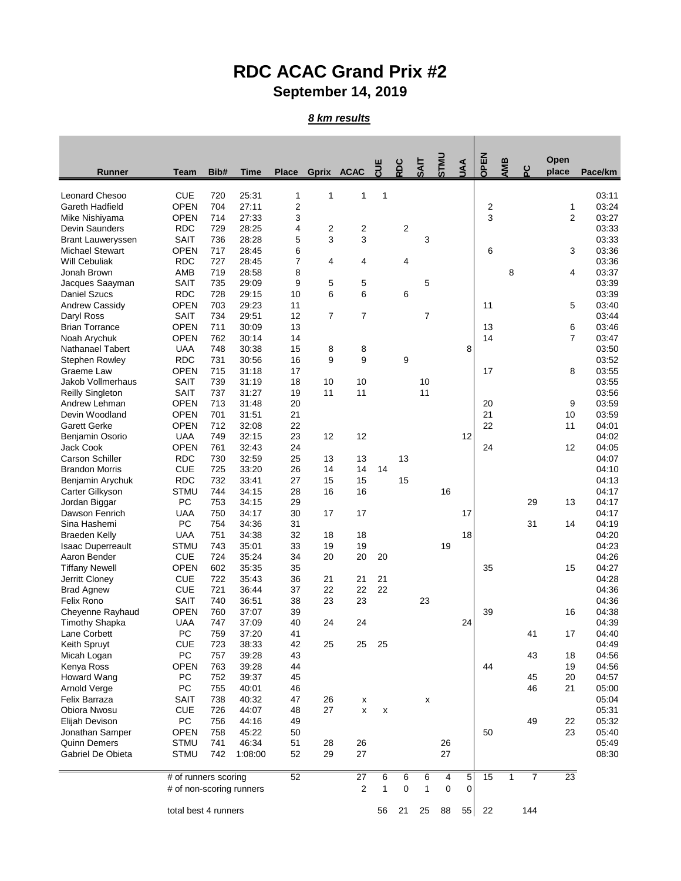## **RDC ACAC Grand Prix #2 September 14, 2019**

## *8 km results*

|                                                    |                            |            |                |                              |        |            |                    |     |                |                |             |        |              |                | Open           |                |
|----------------------------------------------------|----------------------------|------------|----------------|------------------------------|--------|------------|--------------------|-----|----------------|----------------|-------------|--------|--------------|----------------|----------------|----------------|
| Runner                                             | Team                       | Bib#       | Time           | <b>Place</b>                 |        | Gprix ACAC | <b>CUE</b>         | RDC | <b>TIVS</b>    | <b>UMLS</b>    | <b>AAU</b>  | OPEN   | AMB          | ဥ              | place          | Pace/km        |
|                                                    | <b>CUE</b>                 |            |                |                              | 1      | 1          | 1                  |     |                |                |             |        |              |                |                |                |
| Leonard Chesoo                                     | <b>OPEN</b>                | 720<br>704 | 25:31<br>27:11 | 1                            |        |            |                    |     |                |                |             |        |              |                |                | 03:11<br>03:24 |
| Gareth Hadfield                                    | <b>OPEN</b>                |            | 27:33          | $\overline{\mathbf{c}}$<br>3 |        |            |                    |     |                |                |             | 2<br>3 |              |                | 1              |                |
| Mike Nishiyama                                     | <b>RDC</b>                 | 714        | 28:25          |                              |        |            |                    |     |                |                |             |        |              |                | 2              | 03:27<br>03:33 |
| Devin Saunders                                     |                            | 729        |                | 4<br>5                       | 2<br>3 | 2<br>3     |                    | 2   | 3              |                |             |        |              |                |                |                |
| <b>Brant Lauweryssen</b><br><b>Michael Stewart</b> | SAIT<br><b>OPEN</b>        | 736<br>717 | 28:28          | 6                            |        |            |                    |     |                |                |             | 6      |              |                | 3              | 03:33          |
| Will Cebuliak                                      |                            |            | 28:45          | 7                            | 4      |            |                    |     |                |                |             |        |              |                |                | 03:36<br>03:36 |
| Jonah Brown                                        | <b>RDC</b><br>AMB          | 727<br>719 | 28:45<br>28:58 | 8                            |        | 4          |                    | 4   |                |                |             |        | 8            |                | 4              | 03:37          |
| Jacques Saayman                                    | SAIT                       | 735        | 29:09          | 9                            | 5      | 5          |                    |     | 5              |                |             |        |              |                |                | 03:39          |
| <b>Daniel Szucs</b>                                | <b>RDC</b>                 | 728        | 29:15          | 10                           | 6      | 6          |                    | 6   |                |                |             |        |              |                |                | 03:39          |
| Andrew Cassidy                                     | <b>OPEN</b>                | 703        | 29:23          | 11                           |        |            |                    |     |                |                |             | 11     |              |                | 5              | 03:40          |
| Daryl Ross                                         | <b>SAIT</b>                | 734        | 29:51          | 12                           | 7      | 7          |                    |     | $\overline{7}$ |                |             |        |              |                |                | 03:44          |
| <b>Brian Torrance</b>                              | <b>OPEN</b>                | 711        | 30:09          | 13                           |        |            |                    |     |                |                |             | 13     |              |                | 6              | 03:46          |
|                                                    | <b>OPEN</b>                | 762        | 30:14          | 14                           |        |            |                    |     |                |                |             | 14     |              |                | $\overline{7}$ | 03:47          |
| Noah Arychuk<br>Nathanael Tabert                   | <b>UAA</b>                 | 748        | 30:38          | 15                           | 8      | 8          |                    |     |                |                | 8           |        |              |                |                | 03:50          |
| Stephen Rowley                                     | <b>RDC</b>                 | 731        | 30:56          | 16                           | 9      | 9          |                    | 9   |                |                |             |        |              |                |                | 03:52          |
| Graeme Law                                         | OPEN                       | 715        | 31:18          | 17                           |        |            |                    |     |                |                |             | 17     |              |                | 8              | 03:55          |
| Jakob Vollmerhaus                                  | <b>SAIT</b>                | 739        | 31:19          | 18                           | 10     | 10         |                    |     | 10             |                |             |        |              |                |                | 03:55          |
|                                                    | SAIT                       | 737        | 31:27          | 19                           | 11     | 11         |                    |     | 11             |                |             |        |              |                |                | 03:56          |
| <b>Reilly Singleton</b><br>Andrew Lehman           | <b>OPEN</b>                | 713        | 31:48          | 20                           |        |            |                    |     |                |                |             | 20     |              |                | 9              | 03:59          |
| Devin Woodland                                     | OPEN                       | 701        | 31:51          | 21                           |        |            |                    |     |                |                |             | 21     |              |                | 10             | 03:59          |
| <b>Garett Gerke</b>                                | <b>OPEN</b>                | 712        | 32:08          | 22                           |        |            |                    |     |                |                |             | 22     |              |                | 11             | 04:01          |
|                                                    | <b>UAA</b>                 | 749        | 32:15          | 23                           | 12     | 12         |                    |     |                |                | 12          |        |              |                |                | 04:02          |
| Benjamin Osorio<br>Jack Cook                       | <b>OPEN</b>                | 761        | 32:43          | 24                           |        |            |                    |     |                |                |             | 24     |              |                | 12             | 04:05          |
| <b>Carson Schiller</b>                             | <b>RDC</b>                 | 730        | 32:59          | 25                           | 13     | 13         |                    | 13  |                |                |             |        |              |                |                | 04:07          |
| <b>Brandon Morris</b>                              | <b>CUE</b>                 | 725        | 33:20          | 26                           | 14     | 14         | 14                 |     |                |                |             |        |              |                |                | 04:10          |
| Benjamin Arychuk                                   | <b>RDC</b>                 | 732        | 33:41          | 27                           | 15     | 15         |                    | 15  |                |                |             |        |              |                |                | 04:13          |
| Carter Gilkyson                                    | STMU                       | 744        | 34:15          | 28                           | 16     | 16         |                    |     |                | 16             |             |        |              |                |                | 04:17          |
| Jordan Biggar                                      | PC                         | 753        | 34:15          | 29                           |        |            |                    |     |                |                |             |        |              | 29             | 13             | 04:17          |
| Dawson Fenrich                                     | <b>UAA</b>                 | 750        | 34:17          | 30                           | 17     | 17         |                    |     |                |                | 17          |        |              |                |                | 04:17          |
| Sina Hashemi                                       | PC                         | 754        | 34:36          | 31                           |        |            |                    |     |                |                |             |        |              | 31             | 14             | 04:19          |
| <b>Braeden Kelly</b>                               | <b>UAA</b>                 | 751        | 34:38          | 32                           | 18     | 18         |                    |     |                |                | 18          |        |              |                |                | 04:20          |
| <b>Isaac Duperreault</b>                           | <b>STMU</b>                | 743        | 35:01          | 33                           | 19     | 19         |                    |     |                | 19             |             |        |              |                |                | 04:23          |
| Aaron Bender                                       | <b>CUE</b>                 | 724        | 35:24          | 34                           | 20     | 20         | 20                 |     |                |                |             |        |              |                |                | 04:26          |
| <b>Tiffany Newell</b>                              | <b>OPEN</b>                | 602        | 35:35          | 35                           |        |            |                    |     |                |                |             | 35     |              |                | 15             | 04:27          |
| Jerritt Cloney                                     | <b>CUE</b>                 | 722        | 35:43          | 36                           | 21     | 21         | 21                 |     |                |                |             |        |              |                |                | 04:28          |
| <b>Brad Agnew</b>                                  | <b>CUE</b>                 | 721        | 36:44          | 37                           | 22     | 22         | 22                 |     |                |                |             |        |              |                |                | 04:36          |
| Felix Rono                                         | SAIT                       | 740        | 36:51          | 38                           | 23     | 23         |                    |     | 23             |                |             |        |              |                |                | 04:36          |
| Cheyenne Rayhaud                                   | <b>OPEN</b>                | 760        | 37:07          | 39                           |        |            |                    |     |                |                |             | 39     |              |                | 16             | 04:38          |
| <b>Timothy Shapka</b>                              | <b>UAA</b>                 | 747        | 37:09          | 40                           | 24     | 24         |                    |     |                |                | 24          |        |              |                |                | 04:39          |
| Lane Corbett                                       | PC                         | 759        | 37:20          | 41                           |        |            |                    |     |                |                |             |        |              | 41             | 17             | 04:40          |
| Keith Spruyt                                       | <b>CUE</b>                 | 723        | 38:33          | 42                           | 25     | 25         | 25                 |     |                |                |             |        |              |                |                | 04:49          |
| Micah Logan                                        | PC                         | 757        | 39:28          | 43                           |        |            |                    |     |                |                |             |        |              | 43             | 18             | 04:56          |
| Kenya Ross                                         | <b>OPEN</b>                | 763        | 39:28          | 44                           |        |            |                    |     |                |                |             | 44     |              |                | 19             | 04:56          |
| Howard Wang                                        | PC                         | 752        | 39:37          | 45                           |        |            |                    |     |                |                |             |        |              | 45             | 20             | 04:57          |
| Arnold Verge                                       | PC                         | 755        | 40:01          | 46                           |        |            |                    |     |                |                |             |        |              | 46             | 21             | 05:00          |
| Felix Barraza                                      | SAIT                       | 738        | 40:32          | 47                           | 26     | х          |                    |     | x              |                |             |        |              |                |                | 05:04          |
| Obiora Nwosu                                       | <b>CUE</b>                 | 726        | 44:07          | 48                           | 27     | x          | $\pmb{\mathsf{x}}$ |     |                |                |             |        |              |                |                | 05:31          |
| Elijah Devison                                     | PC                         | 756        | 44:16          | 49                           |        |            |                    |     |                |                |             |        |              | 49             | 22             | 05:32          |
| Jonathan Samper                                    | <b>OPEN</b>                | 758        | 45:22          | 50                           |        |            |                    |     |                |                |             | 50     |              |                | 23             | 05:40          |
| <b>Quinn Demers</b>                                | <b>STMU</b>                | 741        | 46:34          | 51                           | 28     | 26         |                    |     |                | 26             |             |        |              |                |                | 05:49          |
| Gabriel De Obieta                                  | <b>STMU</b>                | 742        | 1:08:00        | 52                           | 29     | 27         |                    |     |                | 27             |             |        |              |                |                | 08:30          |
|                                                    |                            |            |                |                              |        |            |                    |     |                |                |             |        |              |                |                |                |
|                                                    | 52<br># of runners scoring |            |                |                              |        | 27         | 6                  | 6   | 6              | $\overline{4}$ | 5           | 15     | $\mathbf{1}$ | $\overline{7}$ | 23             |                |
|                                                    | # of non-scoring runners   |            |                |                              |        | $\sqrt{2}$ | $\mathbf{1}$       | 0   | $\mathbf{1}$   | $\mathbf 0$    | $\mathbf 0$ |        |              |                |                |                |
|                                                    | total best 4 runners       |            |                |                              |        |            | 56                 | 21  | 25             | 88             | 55          | 22     |              | 144            |                |                |